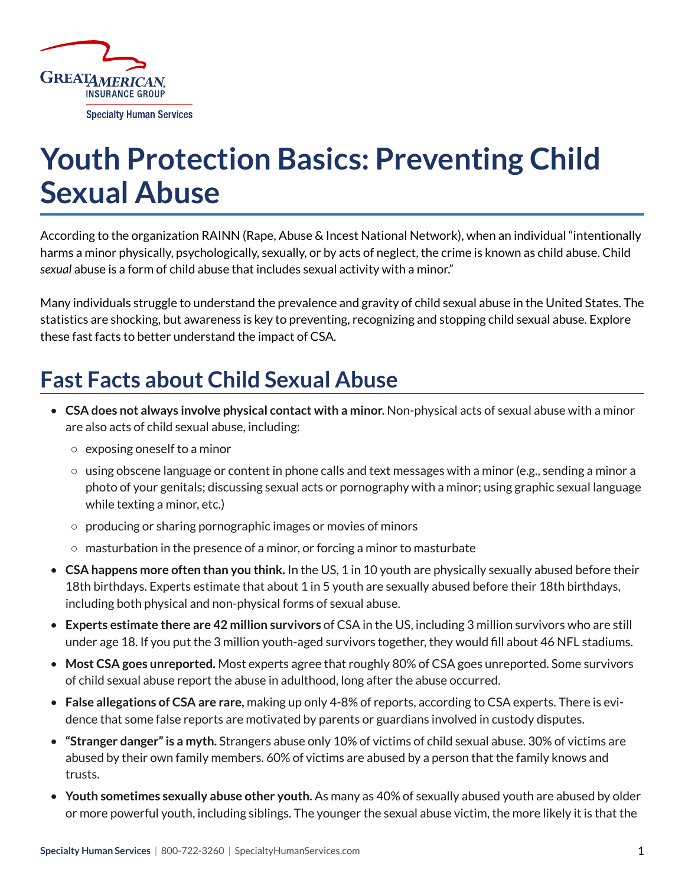

# **Youth Protection Basics: Preventing Child Sexual Abuse**

According to the organization RAINN (Rape, Abuse & Incest National Network), when an individual "intentionally harms a minor physically, psychologically, sexually, or by acts of neglect, the crime is known as child abuse. Child *sexual* abuse is a form of child abuse that includes sexual activity with a minor."

Many individuals struggle to understand the prevalence and gravity of child sexual abuse in the United States. The statistics are shocking, but awareness is key to preventing, recognizing and stopping child sexual abuse. Explore these fast facts to better understand the impact of CSA.

# **Fast Facts about Child Sexual Abuse**

- **CSA does not always involve physical contact with a minor.** Non-physical acts of sexual abuse with a minor are also acts of child sexual abuse, including:
	- exposing oneself to a minor
	- $\circ$  using obscene language or content in phone calls and text messages with a minor (e.g., sending a minor a photo of your genitals; discussing sexual acts or pornography with a minor; using graphic sexual language while texting a minor, etc.)
	- producing or sharing pornographic images or movies of minors
	- masturbation in the presence of a minor, or forcing a minor to masturbate
- **CSA happens more often than you think.** In the US, 1 in 10 youth are physically sexually abused before their 18th birthdays. Experts estimate that about 1 in 5 youth are sexually abused before their 18th birthdays, including both physical and non-physical forms of sexual abuse.
- **Experts estimate there are 42 million survivors** of CSA in the US, including 3 million survivors who are still under age 18. If you put the 3 million youth-aged survivors together, they would fill about 46 NFL stadiums.
- **Most CSA goes unreported.** Most experts agree that roughly 80% of CSA goes unreported. Some survivors of child sexual abuse report the abuse in adulthood, long after the abuse occurred.
- **False allegations of CSA are rare,** making up only 4-8% of reports, according to CSA experts. There is evidence that some false reports are motivated by parents or guardians involved in custody disputes.
- **"Stranger danger" is a myth.** Strangers abuse only 10% of victims of child sexual abuse. 30% of victims are abused by their own family members. 60% of victims are abused by a person that the family knows and trusts.
- **Youth sometimes sexually abuse other youth.** As many as 40% of sexually abused youth are abused by older or more powerful youth, including siblings. The younger the sexual abuse victim, the more likely it is that the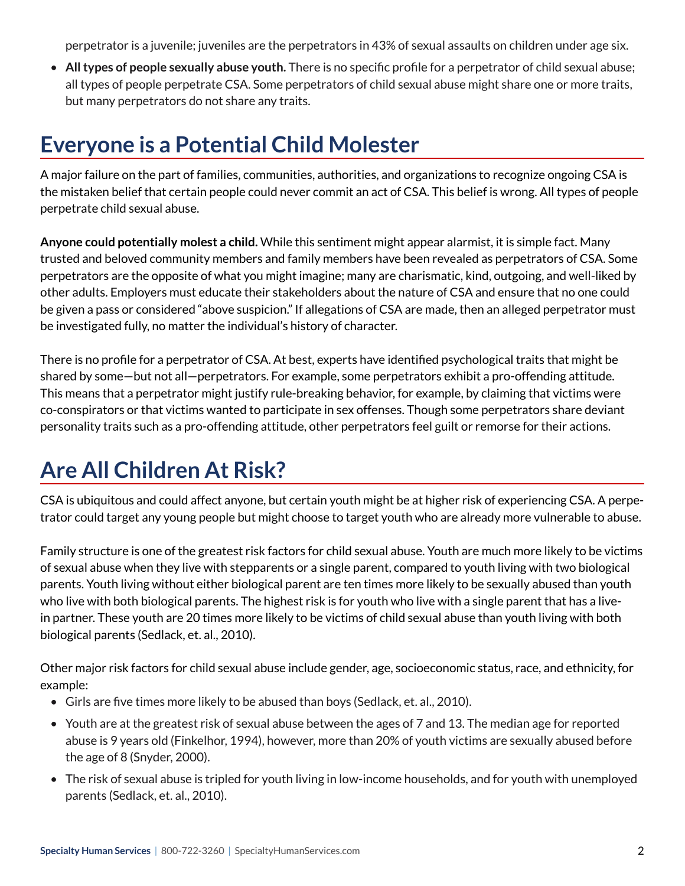perpetrator is a juvenile; juveniles are the perpetrators in 43% of sexual assaults on children under age six.

• **All types of people sexually abuse youth.** There is no specific profile for a perpetrator of child sexual abuse; all types of people perpetrate CSA. Some perpetrators of child sexual abuse might share one or more traits, but many perpetrators do not share any traits.

#### **Everyone is a Potential Child Molester**

A major failure on the part of families, communities, authorities, and organizations to recognize ongoing CSA is the mistaken belief that certain people could never commit an act of CSA. This belief is wrong. All types of people perpetrate child sexual abuse.

**Anyone could potentially molest a child.** While this sentiment might appear alarmist, it is simple fact. Many trusted and beloved community members and family members have been revealed as perpetrators of CSA. Some perpetrators are the opposite of what you might imagine; many are charismatic, kind, outgoing, and well-liked by other adults. Employers must educate their stakeholders about the nature of CSA and ensure that no one could be given a pass or considered "above suspicion." If allegations of CSA are made, then an alleged perpetrator must be investigated fully, no matter the individual's history of character.

There is no profile for a perpetrator of CSA. At best, experts have identified psychological traits that might be shared by some—but not all—perpetrators. For example, some perpetrators exhibit a pro-offending attitude. This means that a perpetrator might justify rule-breaking behavior, for example, by claiming that victims were co-conspirators or that victims wanted to participate in sex offenses. Though some perpetrators share deviant personality traits such as a pro-offending attitude, other perpetrators feel guilt or remorse for their actions.

### **Are All Children At Risk?**

CSA is ubiquitous and could affect anyone, but certain youth might be at higher risk of experiencing CSA. A perpetrator could target any young people but might choose to target youth who are already more vulnerable to abuse.

Family structure is one of the greatest risk factors for child sexual abuse. Youth are much more likely to be victims of sexual abuse when they live with stepparents or a single parent, compared to youth living with two biological parents. Youth living without either biological parent are ten times more likely to be sexually abused than youth who live with both biological parents. The highest risk is for youth who live with a single parent that has a livein partner. These youth are 20 times more likely to be victims of child sexual abuse than youth living with both biological parents (Sedlack, et. al., 2010).

Other major risk factors for child sexual abuse include gender, age, socioeconomic status, race, and ethnicity, for example:

- Girls are five times more likely to be abused than boys (Sedlack, et. al., 2010).
- Youth are at the greatest risk of sexual abuse between the ages of 7 and 13. The median age for reported abuse is 9 years old (Finkelhor, 1994), however, more than 20% of youth victims are sexually abused before the age of 8 (Snyder, 2000).
- The risk of sexual abuse is tripled for youth living in low-income households, and for youth with unemployed parents (Sedlack, et. al., 2010).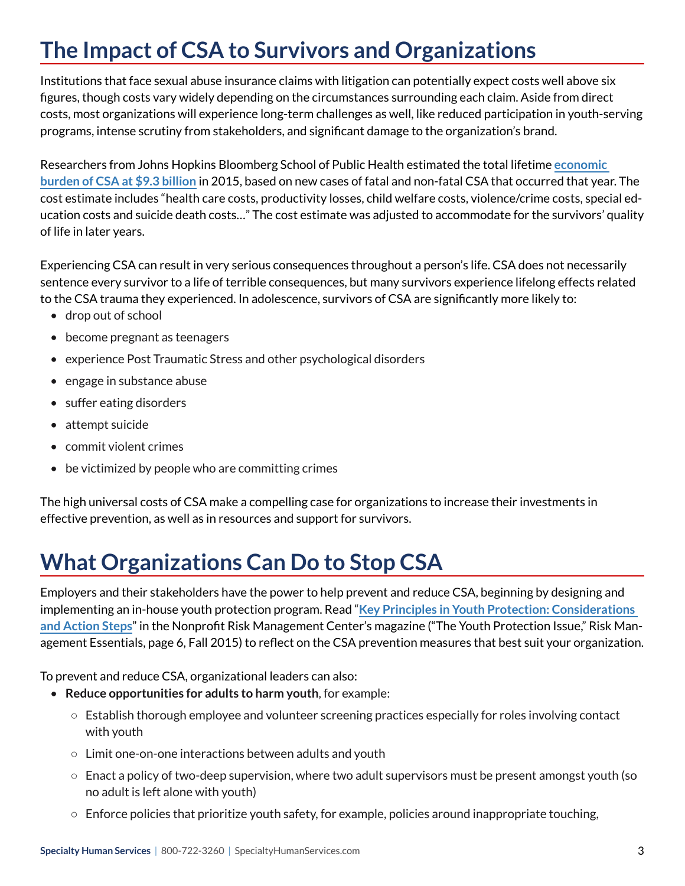# **The Impact of CSA to Survivors and Organizations**

Institutions that face sexual abuse insurance claims with litigation can potentially expect costs well above six figures, though costs vary widely depending on the circumstances surrounding each claim. Aside from direct costs, most organizations will experience long-term challenges as well, like reduced participation in youth-serving programs, intense scrutiny from stakeholders, and significant damage to the organization's brand.

Researchers from Johns Hopkins Bloomberg School of Public Health estimated the total lifetime **[economic](https://www.healio.com/psychiatry/pediatrics/news/online/%7Bbccbc7eb-f0cf-41e3-9cb2-9d9cf5bcb8bb%7D/us-cost-of-child-sexual-abuse-over-9-billion-in-2015)  [burden of CSA at \\$9.3 billion](https://www.healio.com/psychiatry/pediatrics/news/online/%7Bbccbc7eb-f0cf-41e3-9cb2-9d9cf5bcb8bb%7D/us-cost-of-child-sexual-abuse-over-9-billion-in-2015)** in 2015, based on new cases of fatal and non-fatal CSA that occurred that year. The cost estimate includes "health care costs, productivity losses, child welfare costs, violence/crime costs, special education costs and suicide death costs…" The cost estimate was adjusted to accommodate for the survivors' quality of life in later years.

Experiencing CSA can result in very serious consequences throughout a person's life. CSA does not necessarily sentence every survivor to a life of terrible consequences, but many survivors experience lifelong effects related to the CSA trauma they experienced. In adolescence, survivors of CSA are significantly more likely to:

- drop out of school
- become pregnant as teenagers
- experience Post Traumatic Stress and other psychological disorders
- engage in substance abuse
- suffer eating disorders
- attempt suicide
- commit violent crimes
- be victimized by people who are committing crimes

The high universal costs of CSA make a compelling case for organizations to increase their investments in effective prevention, as well as in resources and support for survivors.

### **What Organizations Can Do to Stop CSA**

Employers and their stakeholders have the power to help prevent and reduce CSA, beginning by designing and implementing an in-house youth protection program. Read "**[Key Principles in Youth Protection: Considerations](https://nonprofitrisk.org/wp-content/uploads/2016/11/RME_Fall_2015.pdf)  [and Action Steps](https://nonprofitrisk.org/wp-content/uploads/2016/11/RME_Fall_2015.pdf)**" in the Nonprofit Risk Management Center's magazine ("The Youth Protection Issue," Risk Management Essentials, page 6, Fall 2015) to reflect on the CSA prevention measures that best suit your organization.

To prevent and reduce CSA, organizational leaders can also:

- **Reduce opportunities for adults to harm youth**, for example:
	- $\circ$  Establish thorough employee and volunteer screening practices especially for roles involving contact with youth
	- Limit one-on-one interactions between adults and youth
	- $\circ$  Enact a policy of two-deep supervision, where two adult supervisors must be present amongst youth (so no adult is left alone with youth)
	- $\circ$  Enforce policies that prioritize youth safety, for example, policies around inappropriate touching,